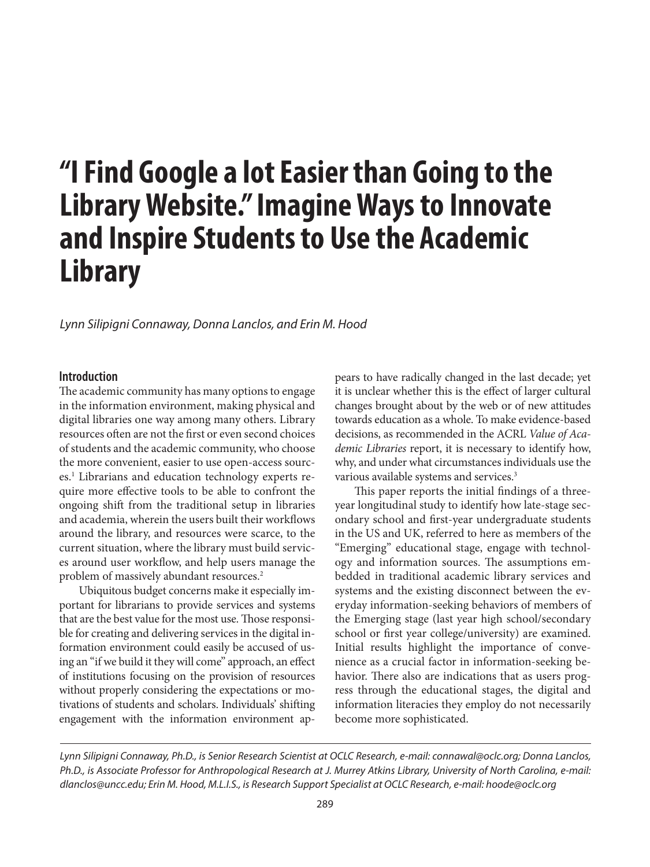# **"I Find Google a lot Easier than Going to the Library Website." Imagine Ways to Innovate and Inspire Students to Use the Academic Library**

*Lynn Silipigni Connaway, Donna Lanclos, and Erin M. Hood*

## **Introduction**

The academic community has many options to engage in the information environment, making physical and digital libraries one way among many others. Library resources often are not the first or even second choices of students and the academic community, who choose the more convenient, easier to use open-access sources.<sup>1</sup> Librarians and education technology experts require more effective tools to be able to confront the ongoing shift from the traditional setup in libraries and academia, wherein the users built their workflows around the library, and resources were scarce, to the current situation, where the library must build services around user workflow, and help users manage the problem of massively abundant resources.2

Ubiquitous budget concerns make it especially important for librarians to provide services and systems that are the best value for the most use. Those responsible for creating and delivering services in the digital information environment could easily be accused of using an "if we build it they will come" approach, an effect of institutions focusing on the provision of resources without properly considering the expectations or motivations of students and scholars. Individuals' shifting engagement with the information environment appears to have radically changed in the last decade; yet it is unclear whether this is the effect of larger cultural changes brought about by the web or of new attitudes towards education as a whole. To make evidence-based decisions, as recommended in the ACRL *Value of Academic Libraries* report, it is necessary to identify how, why, and under what circumstances individuals use the various available systems and services.<sup>3</sup>

This paper reports the initial findings of a threeyear longitudinal study to identify how late-stage secondary school and first-year undergraduate students in the US and UK, referred to here as members of the "Emerging" educational stage, engage with technology and information sources. The assumptions embedded in traditional academic library services and systems and the existing disconnect between the everyday information-seeking behaviors of members of the Emerging stage (last year high school/secondary school or first year college/university) are examined. Initial results highlight the importance of convenience as a crucial factor in information-seeking behavior. There also are indications that as users progress through the educational stages, the digital and information literacies they employ do not necessarily become more sophisticated.

*Lynn Silipigni Connaway, Ph.D., is Senior Research Scientist at OCLC Research, e-mail: connawal@oclc.org; Donna Lanclos, Ph.D., is Associate Professor for Anthropological Research at J. Murrey Atkins Library, University of North Carolina, e-mail: dlanclos@uncc.edu; Erin M. Hood, M.L.I.S., is Research Support Specialist at OCLC Research, e-mail: hoode@oclc.org*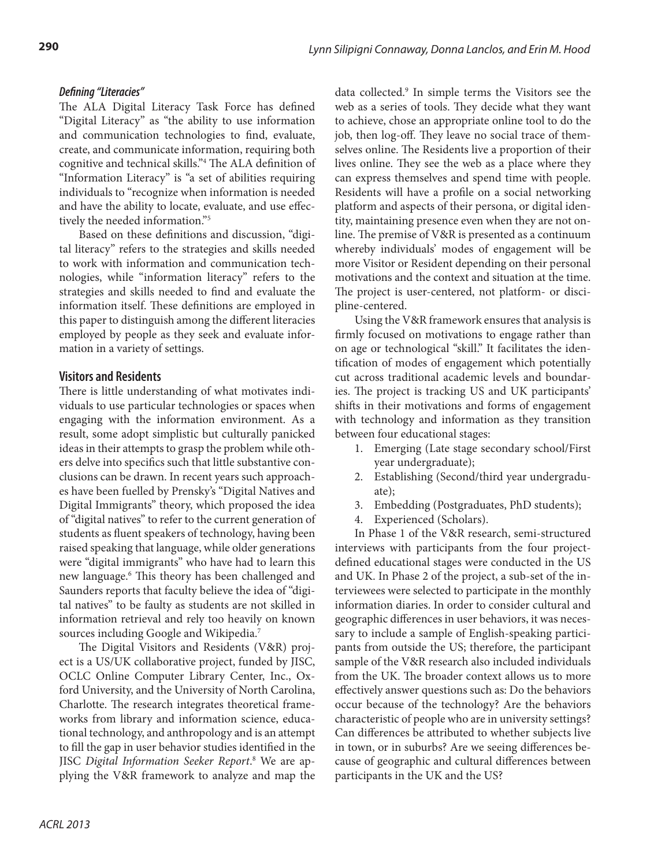# *Defining "Literacies"*

The ALA Digital Literacy Task Force has defined "Digital Literacy" as "the ability to use information and communication technologies to find, evaluate, create, and communicate information, requiring both cognitive and technical skills."4 The ALA definition of "Information Literacy" is "a set of abilities requiring individuals to "recognize when information is needed and have the ability to locate, evaluate, and use effectively the needed information."5

Based on these definitions and discussion, "digital literacy" refers to the strategies and skills needed to work with information and communication technologies, while "information literacy" refers to the strategies and skills needed to find and evaluate the information itself. These definitions are employed in this paper to distinguish among the different literacies employed by people as they seek and evaluate information in a variety of settings.

# **Visitors and Residents**

There is little understanding of what motivates individuals to use particular technologies or spaces when engaging with the information environment. As a result, some adopt simplistic but culturally panicked ideas in their attempts to grasp the problem while others delve into specifics such that little substantive conclusions can be drawn. In recent years such approaches have been fuelled by Prensky's "Digital Natives and Digital Immigrants" theory, which proposed the idea of "digital natives" to refer to the current generation of students as fluent speakers of technology, having been raised speaking that language, while older generations were "digital immigrants" who have had to learn this new language.6 This theory has been challenged and Saunders reports that faculty believe the idea of "digital natives" to be faulty as students are not skilled in information retrieval and rely too heavily on known sources including Google and Wikipedia.<sup>7</sup>

The Digital Visitors and Residents (V&R) project is a US/UK collaborative project, funded by JISC, OCLC Online Computer Library Center, Inc., Oxford University, and the University of North Carolina, Charlotte. The research integrates theoretical frameworks from library and information science, educational technology, and anthropology and is an attempt to fill the gap in user behavior studies identified in the JISC *Digital Information Seeker Report*. 8 We are applying the V&R framework to analyze and map the

data collected.9 In simple terms the Visitors see the web as a series of tools. They decide what they want to achieve, chose an appropriate online tool to do the job, then log-off. They leave no social trace of themselves online. The Residents live a proportion of their lives online. They see the web as a place where they can express themselves and spend time with people. Residents will have a profile on a social networking platform and aspects of their persona, or digital identity, maintaining presence even when they are not online. The premise of V&R is presented as a continuum whereby individuals' modes of engagement will be more Visitor or Resident depending on their personal motivations and the context and situation at the time. The project is user-centered, not platform- or discipline-centered.

Using the V&R framework ensures that analysis is firmly focused on motivations to engage rather than on age or technological "skill." It facilitates the identification of modes of engagement which potentially cut across traditional academic levels and boundaries. The project is tracking US and UK participants' shifts in their motivations and forms of engagement with technology and information as they transition between four educational stages:

- 1. Emerging (Late stage secondary school/First year undergraduate);
- 2. Establishing (Second/third year undergraduate);
- 3. Embedding (Postgraduates, PhD students);
- 4. Experienced (Scholars).

In Phase 1 of the V&R research, semi-structured interviews with participants from the four projectdefined educational stages were conducted in the US and UK. In Phase 2 of the project, a sub-set of the interviewees were selected to participate in the monthly information diaries. In order to consider cultural and geographic differences in user behaviors, it was necessary to include a sample of English-speaking participants from outside the US; therefore, the participant sample of the V&R research also included individuals from the UK. The broader context allows us to more effectively answer questions such as: Do the behaviors occur because of the technology? Are the behaviors characteristic of people who are in university settings? Can differences be attributed to whether subjects live in town, or in suburbs? Are we seeing differences because of geographic and cultural differences between participants in the UK and the US?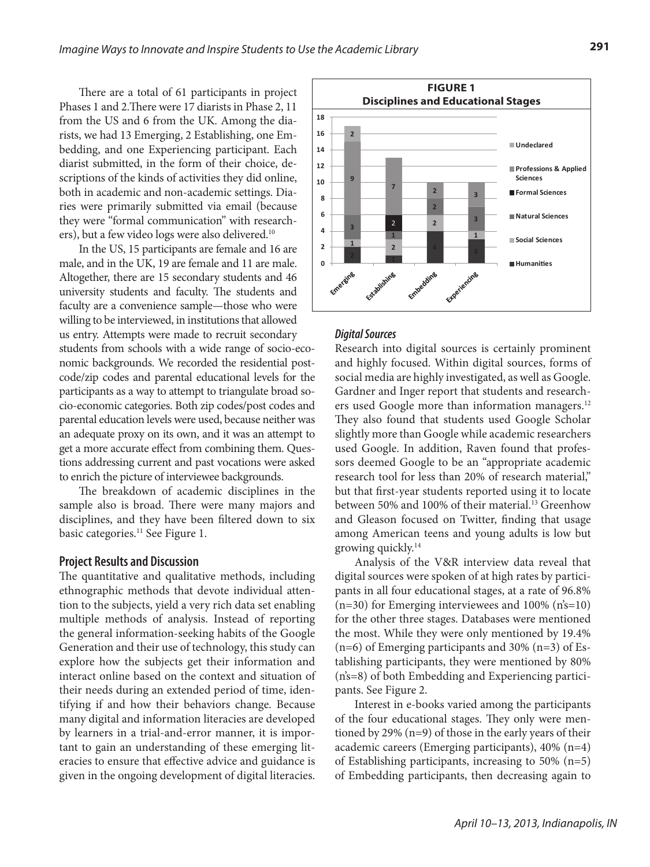There are a total of 61 participants in project Phases 1 and 2.There were 17 diarists in Phase 2, 11 from the US and 6 from the UK. Among the diarists, we had 13 Emerging, 2 Establishing, one Embedding, and one Experiencing participant. Each diarist submitted, in the form of their choice, descriptions of the kinds of activities they did online, both in academic and non-academic settings. Diaries were primarily submitted via email (because they were "formal communication" with researchers), but a few video logs were also delivered.<sup>10</sup>

In the US, 15 participants are female and 16 are male, and in the UK, 19 are female and 11 are male. Altogether, there are 15 secondary students and 46 university students and faculty. The students and faculty are a convenience sample—those who were willing to be interviewed, in institutions that allowed us entry. Attempts were made to recruit secondary students from schools with a wide range of socio-economic backgrounds. We recorded the residential postcode/zip codes and parental educational levels for the participants as a way to attempt to triangulate broad socio-economic categories. Both zip codes/post codes and parental education levels were used, because neither was an adequate proxy on its own, and it was an attempt to get a more accurate effect from combining them. Questions addressing current and past vocations were asked to enrich the picture of interviewee backgrounds.

The breakdown of academic disciplines in the sample also is broad. There were many majors and disciplines, and they have been filtered down to six basic categories.<sup>11</sup> See Figure 1.

#### **Project Results and Discussion**

The quantitative and qualitative methods, including ethnographic methods that devote individual attention to the subjects, yield a very rich data set enabling multiple methods of analysis. Instead of reporting the general information-seeking habits of the Google Generation and their use of technology, this study can explore how the subjects get their information and interact online based on the context and situation of their needs during an extended period of time, identifying if and how their behaviors change. Because many digital and information literacies are developed by learners in a trial-and-error manner, it is important to gain an understanding of these emerging literacies to ensure that effective advice and guidance is given in the ongoing development of digital literacies.



#### *Digital Sources*

Research into digital sources is certainly prominent and highly focused. Within digital sources, forms of social media are highly investigated, as well as Google. Gardner and Inger report that students and researchers used Google more than information managers.<sup>12</sup> They also found that students used Google Scholar slightly more than Google while academic researchers used Google. In addition, Raven found that professors deemed Google to be an "appropriate academic research tool for less than 20% of research material," but that first-year students reported using it to locate between 50% and 100% of their material.<sup>13</sup> Greenhow and Gleason focused on Twitter, finding that usage among American teens and young adults is low but growing quickly.14

Analysis of the V&R interview data reveal that digital sources were spoken of at high rates by participants in all four educational stages, at a rate of 96.8%  $(n=30)$  for Emerging interviewees and 100%  $(n\text{'s}=10)$ for the other three stages. Databases were mentioned the most. While they were only mentioned by 19.4% (n=6) of Emerging participants and 30% (n=3) of Establishing participants, they were mentioned by 80% (n's=8) of both Embedding and Experiencing participants. See Figure 2.

Interest in e-books varied among the participants of the four educational stages. They only were mentioned by 29% (n=9) of those in the early years of their academic careers (Emerging participants), 40% (n=4) of Establishing participants, increasing to 50% (n=5) of Embedding participants, then decreasing again to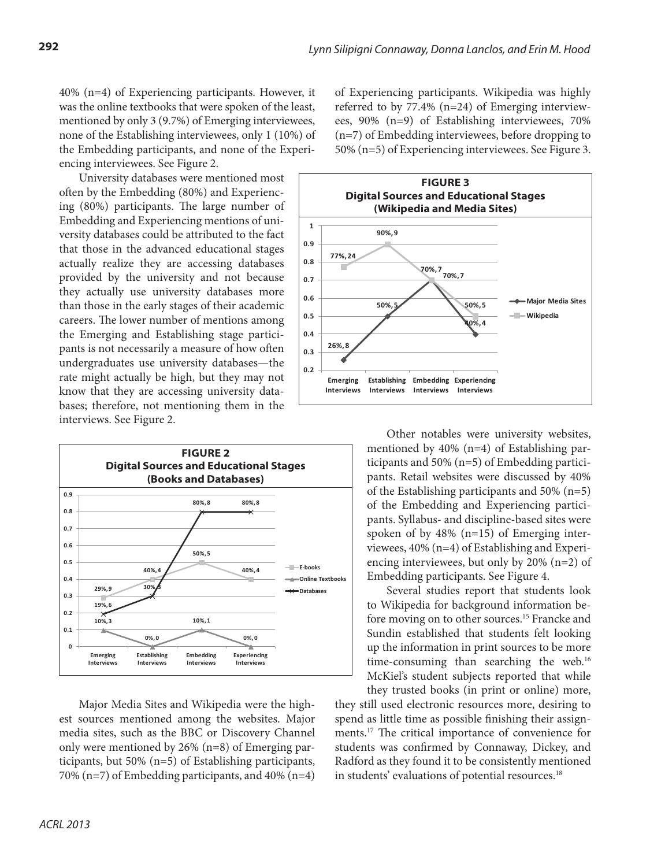40% (n=4) of Experiencing participants. However, it was the online textbooks that were spoken of the least, mentioned by only 3 (9.7%) of Emerging interviewees, none of the Establishing interviewees, only 1 (10%) of the Embedding participants, and none of the Experiencing interviewees. See Figure 2.

University databases were mentioned most often by the Embedding (80%) and Experiencing (80%) participants. The large number of Embedding and Experiencing mentions of university databases could be attributed to the fact that those in the advanced educational stages actually realize they are accessing databases provided by the university and not because they actually use university databases more than those in the early stages of their academic careers. The lower number of mentions among the Emerging and Establishing stage participants is not necessarily a measure of how often undergraduates use university databases—the rate might actually be high, but they may not know that they are accessing university databases; therefore, not mentioning them in the interviews. See Figure 2.



Major Media Sites and Wikipedia were the highest sources mentioned among the websites. Major media sites, such as the BBC or Discovery Channel only were mentioned by 26% (n=8) of Emerging participants, but 50% (n=5) of Establishing participants, 70% (n=7) of Embedding participants, and 40% (n=4) of Experiencing participants. Wikipedia was highly referred to by 77.4% (n=24) of Emerging interviewees, 90% (n=9) of Establishing interviewees, 70% (n=7) of Embedding interviewees, before dropping to 50% (n=5) of Experiencing interviewees. See Figure 3.



Other notables were university websites, mentioned by 40% (n=4) of Establishing participants and 50% (n=5) of Embedding participants. Retail websites were discussed by 40% of the Establishing participants and 50% (n=5) of the Embedding and Experiencing participants. Syllabus- and discipline-based sites were spoken of by 48% (n=15) of Emerging interviewees, 40% (n=4) of Establishing and Experiencing interviewees, but only by 20% (n=2) of Embedding participants. See Figure 4.

Several studies report that students look to Wikipedia for background information before moving on to other sources.<sup>15</sup> Francke and Sundin established that students felt looking up the information in print sources to be more time-consuming than searching the web.<sup>16</sup> McKiel's student subjects reported that while they trusted books (in print or online) more,

they still used electronic resources more, desiring to spend as little time as possible finishing their assignments.17 The critical importance of convenience for students was confirmed by Connaway, Dickey, and Radford as they found it to be consistently mentioned in students' evaluations of potential resources.<sup>18</sup>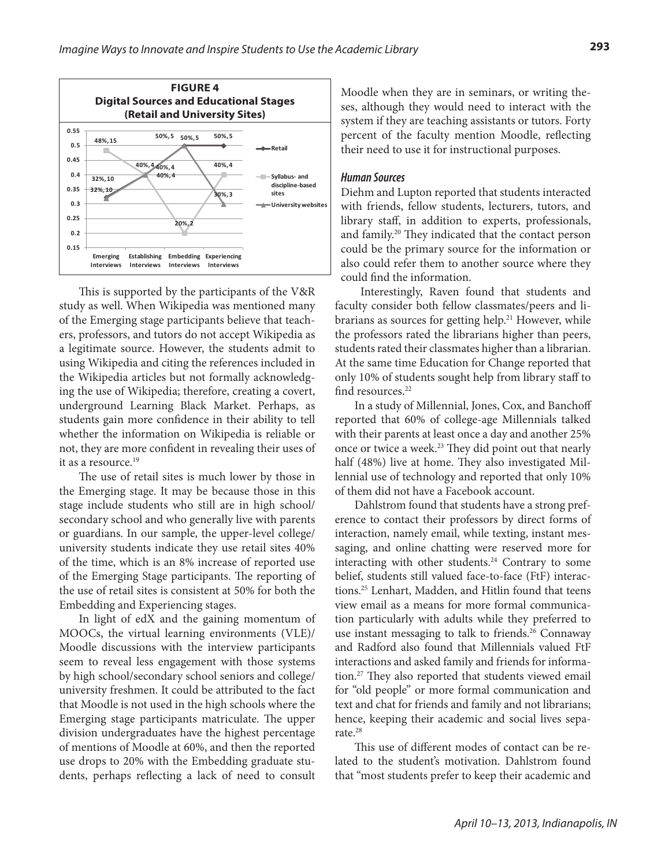

This is supported by the participants of the V&R study as well. When Wikipedia was mentioned many of the Emerging stage participants believe that teachers, professors, and tutors do not accept Wikipedia as a legitimate source. However, the students admit to using Wikipedia and citing the references included in the Wikipedia articles but not formally acknowledging the use of Wikipedia; therefore, creating a covert, underground Learning Black Market. Perhaps, as students gain more confidence in their ability to tell whether the information on Wikipedia is reliable or not, they are more confident in revealing their uses of it as a resource.<sup>19</sup>

The use of retail sites is much lower by those in the Emerging stage. It may be because those in this stage include students who still are in high school/ secondary school and who generally live with parents or guardians. In our sample, the upper-level college/ university students indicate they use retail sites 40% of the time, which is an 8% increase of reported use of the Emerging Stage participants. The reporting of the use of retail sites is consistent at 50% for both the Embedding and Experiencing stages.

In light of edX and the gaining momentum of MOOCs, the virtual learning environments (VLE)/ Moodle discussions with the interview participants seem to reveal less engagement with those systems by high school/secondary school seniors and college/ university freshmen. It could be attributed to the fact that Moodle is not used in the high schools where the Emerging stage participants matriculate. The upper division undergraduates have the highest percentage of mentions of Moodle at 60%, and then the reported use drops to 20% with the Embedding graduate students, perhaps reflecting a lack of need to consult Moodle when they are in seminars, or writing theses, although they would need to interact with the system if they are teaching assistants or tutors. Forty percent of the faculty mention Moodle, reflecting their need to use it for instructional purposes.

#### *Human Sources*

Diehm and Lupton reported that students interacted with friends, fellow students, lecturers, tutors, and library staff, in addition to experts, professionals, and family.20 They indicated that the contact person could be the primary source for the information or also could refer them to another source where they could find the information.

Interestingly, Raven found that students and faculty consider both fellow classmates/peers and librarians as sources for getting help.<sup>21</sup> However, while the professors rated the librarians higher than peers, students rated their classmates higher than a librarian. At the same time Education for Change reported that only 10% of students sought help from library staff to find resources.<sup>22</sup>

In a study of Millennial, Jones, Cox, and Banchoff reported that 60% of college-age Millennials talked with their parents at least once a day and another 25% once or twice a week.<sup>23</sup> They did point out that nearly half (48%) live at home. They also investigated Millennial use of technology and reported that only 10% of them did not have a Facebook account.

Dahlstrom found that students have a strong preference to contact their professors by direct forms of interaction, namely email, while texting, instant messaging, and online chatting were reserved more for interacting with other students. $24$  Contrary to some belief, students still valued face-to-face (FtF) interactions.25 Lenhart, Madden, and Hitlin found that teens view email as a means for more formal communication particularly with adults while they preferred to use instant messaging to talk to friends.<sup>26</sup> Connaway and Radford also found that Millennials valued FtF interactions and asked family and friends for information.27 They also reported that students viewed email for "old people" or more formal communication and text and chat for friends and family and not librarians; hence, keeping their academic and social lives separate.<sup>28</sup>

This use of different modes of contact can be related to the student's motivation. Dahlstrom found that "most students prefer to keep their academic and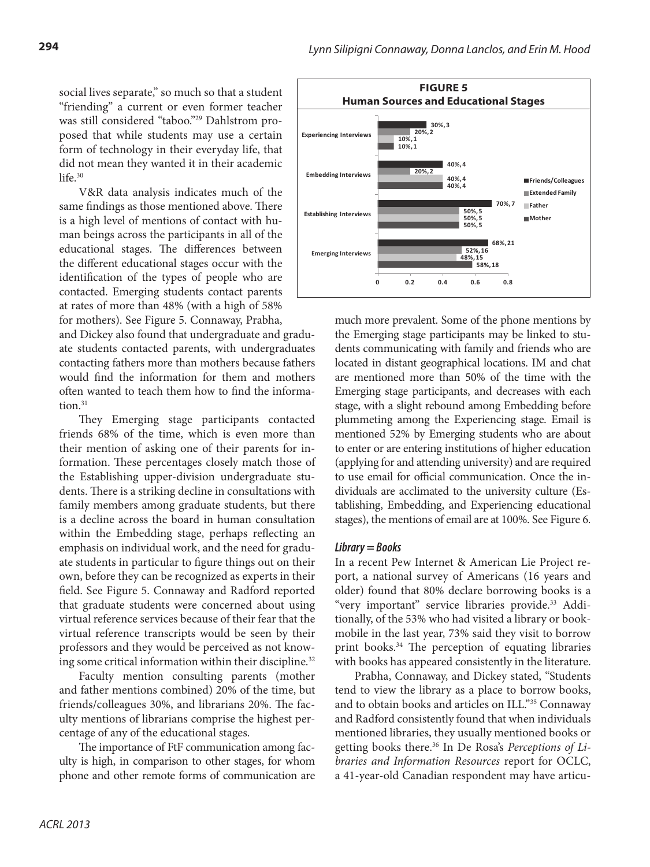social lives separate," so much so that a student "friending" a current or even former teacher was still considered "taboo."29 Dahlstrom proposed that while students may use a certain form of technology in their everyday life, that did not mean they wanted it in their academic life $30$ 

V&R data analysis indicates much of the same findings as those mentioned above. There is a high level of mentions of contact with human beings across the participants in all of the educational stages. The differences between the different educational stages occur with the identification of the types of people who are contacted. Emerging students contact parents at rates of more than 48% (with a high of 58% for mothers). See Figure 5. Connaway, Prabha,

and Dickey also found that undergraduate and graduate students contacted parents, with undergraduates contacting fathers more than mothers because fathers would find the information for them and mothers often wanted to teach them how to find the information.<sup>31</sup>

They Emerging stage participants contacted friends 68% of the time, which is even more than their mention of asking one of their parents for information. These percentages closely match those of the Establishing upper-division undergraduate students. There is a striking decline in consultations with family members among graduate students, but there is a decline across the board in human consultation within the Embedding stage, perhaps reflecting an emphasis on individual work, and the need for graduate students in particular to figure things out on their own, before they can be recognized as experts in their field. See Figure 5. Connaway and Radford reported that graduate students were concerned about using virtual reference services because of their fear that the virtual reference transcripts would be seen by their professors and they would be perceived as not knowing some critical information within their discipline.<sup>32</sup>

Faculty mention consulting parents (mother and father mentions combined) 20% of the time, but friends/colleagues 30%, and librarians 20%. The faculty mentions of librarians comprise the highest percentage of any of the educational stages.

The importance of FtF communication among faculty is high, in comparison to other stages, for whom phone and other remote forms of communication are



much more prevalent. Some of the phone mentions by the Emerging stage participants may be linked to students communicating with family and friends who are located in distant geographical locations. IM and chat are mentioned more than 50% of the time with the Emerging stage participants, and decreases with each stage, with a slight rebound among Embedding before plummeting among the Experiencing stage. Email is mentioned 52% by Emerging students who are about to enter or are entering institutions of higher education (applying for and attending university) and are required to use email for official communication. Once the individuals are acclimated to the university culture (Establishing, Embedding, and Experiencing educational stages), the mentions of email are at 100%. See Figure 6.

## *Library = Books*

In a recent Pew Internet & American Lie Project report, a national survey of Americans (16 years and older) found that 80% declare borrowing books is a "very important" service libraries provide.<sup>33</sup> Additionally, of the 53% who had visited a library or bookmobile in the last year, 73% said they visit to borrow print books.<sup>34</sup> The perception of equating libraries with books has appeared consistently in the literature.

Prabha, Connaway, and Dickey stated, "Students tend to view the library as a place to borrow books, and to obtain books and articles on ILL."35 Connaway and Radford consistently found that when individuals mentioned libraries, they usually mentioned books or getting books there.36 In De Rosa's *Perceptions of Libraries and Information Resources* report for OCLC, a 41-year-old Canadian respondent may have articu-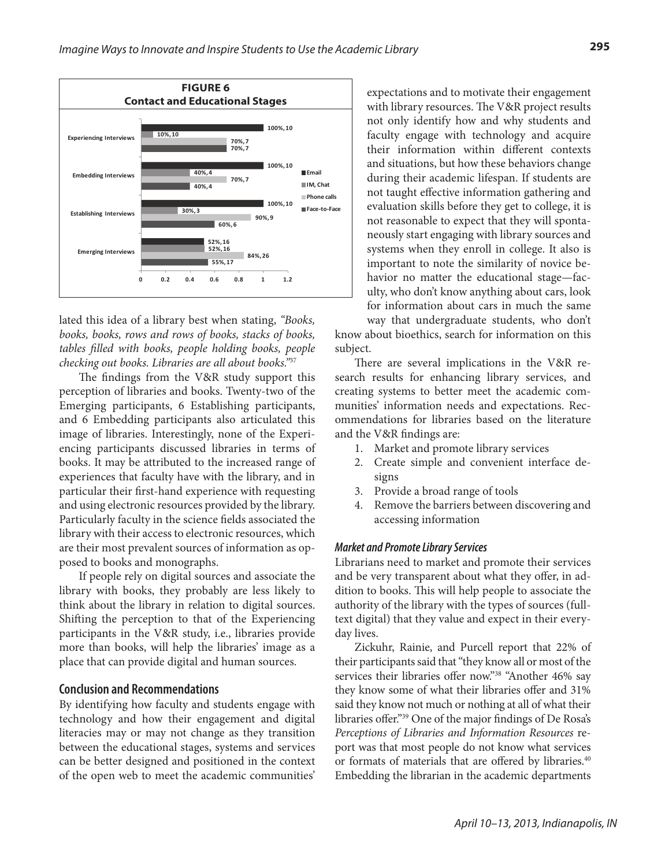

lated this idea of a library best when stating, *"Books, books, books, rows and rows of books, stacks of books, tables filled with books, people holding books, people checking out books. Libraries are all about books."*<sup>37</sup>

The findings from the V&R study support this perception of libraries and books. Twenty-two of the Emerging participants, 6 Establishing participants, and 6 Embedding participants also articulated this image of libraries. Interestingly, none of the Experiencing participants discussed libraries in terms of books. It may be attributed to the increased range of experiences that faculty have with the library, and in particular their first-hand experience with requesting and using electronic resources provided by the library. Particularly faculty in the science fields associated the library with their access to electronic resources, which are their most prevalent sources of information as opposed to books and monographs.

If people rely on digital sources and associate the library with books, they probably are less likely to think about the library in relation to digital sources. Shifting the perception to that of the Experiencing participants in the V&R study, i.e., libraries provide more than books, will help the libraries' image as a place that can provide digital and human sources.

#### **Conclusion and Recommendations**

By identifying how faculty and students engage with technology and how their engagement and digital literacies may or may not change as they transition between the educational stages, systems and services can be better designed and positioned in the context of the open web to meet the academic communities'

expectations and to motivate their engagement with library resources. The V&R project results not only identify how and why students and faculty engage with technology and acquire their information within different contexts and situations, but how these behaviors change during their academic lifespan. If students are not taught effective information gathering and evaluation skills before they get to college, it is not reasonable to expect that they will spontaneously start engaging with library sources and systems when they enroll in college. It also is important to note the similarity of novice behavior no matter the educational stage—faculty, who don't know anything about cars, look for information about cars in much the same way that undergraduate students, who don't

know about bioethics, search for information on this subject.

There are several implications in the V&R research results for enhancing library services, and creating systems to better meet the academic communities' information needs and expectations. Recommendations for libraries based on the literature and the V&R findings are:

- 1. Market and promote library services
- 2. Create simple and convenient interface designs
- 3. Provide a broad range of tools
- Remove the barriers between discovering and accessing information

#### *Market and Promote Library Services*

Librarians need to market and promote their services and be very transparent about what they offer, in addition to books. This will help people to associate the authority of the library with the types of sources (fulltext digital) that they value and expect in their everyday lives.

Zickuhr, Rainie, and Purcell report that 22% of their participants said that "they know all or most of the services their libraries offer now."<sup>38</sup> "Another 46% say they know some of what their libraries offer and 31% said they know not much or nothing at all of what their libraries offer."39 One of the major findings of De Rosa's *Perceptions of Libraries and Information Resources* report was that most people do not know what services or formats of materials that are offered by libraries.<sup>40</sup> Embedding the librarian in the academic departments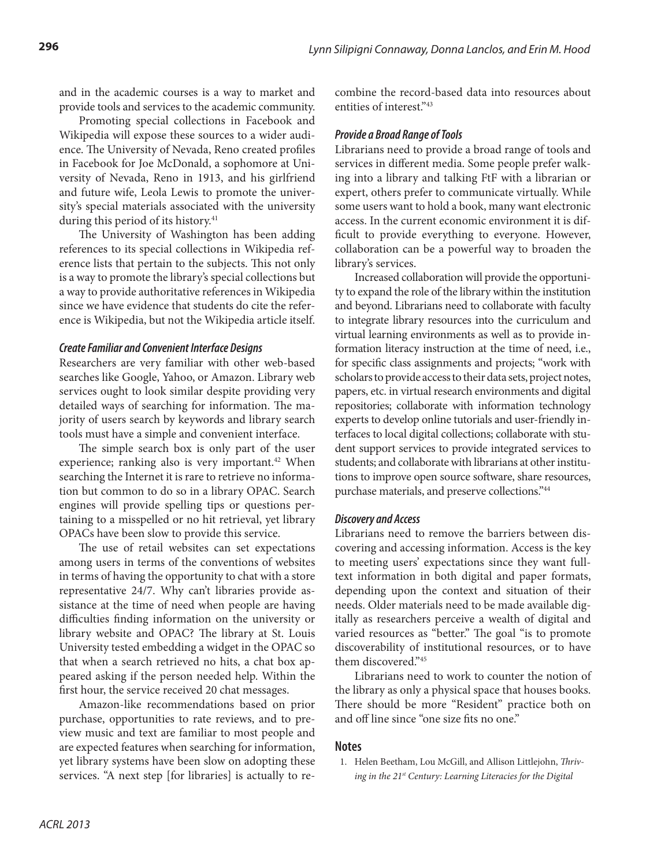and in the academic courses is a way to market and provide tools and services to the academic community.

Promoting special collections in Facebook and Wikipedia will expose these sources to a wider audience. The University of Nevada, Reno created profiles in Facebook for Joe McDonald, a sophomore at University of Nevada, Reno in 1913, and his girlfriend and future wife, Leola Lewis to promote the university's special materials associated with the university during this period of its history.<sup>41</sup>

The University of Washington has been adding references to its special collections in Wikipedia reference lists that pertain to the subjects. This not only is a way to promote the library's special collections but a way to provide authoritative references in Wikipedia since we have evidence that students do cite the reference is Wikipedia, but not the Wikipedia article itself.

## *Create Familiar and Convenient Interface Designs*

Researchers are very familiar with other web-based searches like Google, Yahoo, or Amazon. Library web services ought to look similar despite providing very detailed ways of searching for information. The majority of users search by keywords and library search tools must have a simple and convenient interface.

The simple search box is only part of the user experience; ranking also is very important.<sup>42</sup> When searching the Internet it is rare to retrieve no information but common to do so in a library OPAC. Search engines will provide spelling tips or questions pertaining to a misspelled or no hit retrieval, yet library OPACs have been slow to provide this service.

The use of retail websites can set expectations among users in terms of the conventions of websites in terms of having the opportunity to chat with a store representative 24/7. Why can't libraries provide assistance at the time of need when people are having difficulties finding information on the university or library website and OPAC? The library at St. Louis University tested embedding a widget in the OPAC so that when a search retrieved no hits, a chat box appeared asking if the person needed help. Within the first hour, the service received 20 chat messages.

Amazon-like recommendations based on prior purchase, opportunities to rate reviews, and to preview music and text are familiar to most people and are expected features when searching for information, yet library systems have been slow on adopting these services. "A next step [for libraries] is actually to recombine the record-based data into resources about entities of interest."43

## *Provide a Broad Range of Tools*

Librarians need to provide a broad range of tools and services in different media. Some people prefer walking into a library and talking FtF with a librarian or expert, others prefer to communicate virtually. While some users want to hold a book, many want electronic access. In the current economic environment it is difficult to provide everything to everyone. However, collaboration can be a powerful way to broaden the library's services.

Increased collaboration will provide the opportunity to expand the role of the library within the institution and beyond. Librarians need to collaborate with faculty to integrate library resources into the curriculum and virtual learning environments as well as to provide information literacy instruction at the time of need, i.e., for specific class assignments and projects; "work with scholars to provide access to their data sets, project notes, papers, etc. in virtual research environments and digital repositories; collaborate with information technology experts to develop online tutorials and user-friendly interfaces to local digital collections; collaborate with student support services to provide integrated services to students; and collaborate with librarians at other institutions to improve open source software, share resources, purchase materials, and preserve collections."44

## *Discovery and Access*

Librarians need to remove the barriers between discovering and accessing information. Access is the key to meeting users' expectations since they want fulltext information in both digital and paper formats, depending upon the context and situation of their needs. Older materials need to be made available digitally as researchers perceive a wealth of digital and varied resources as "better." The goal "is to promote discoverability of institutional resources, or to have them discovered."45

Librarians need to work to counter the notion of the library as only a physical space that houses books. There should be more "Resident" practice both on and off line since "one size fits no one."

## **Notes**

1. Helen Beetham, Lou McGill, and Allison Littlejohn, *Thriving in the 21st Century: Learning Literacies for the Digital*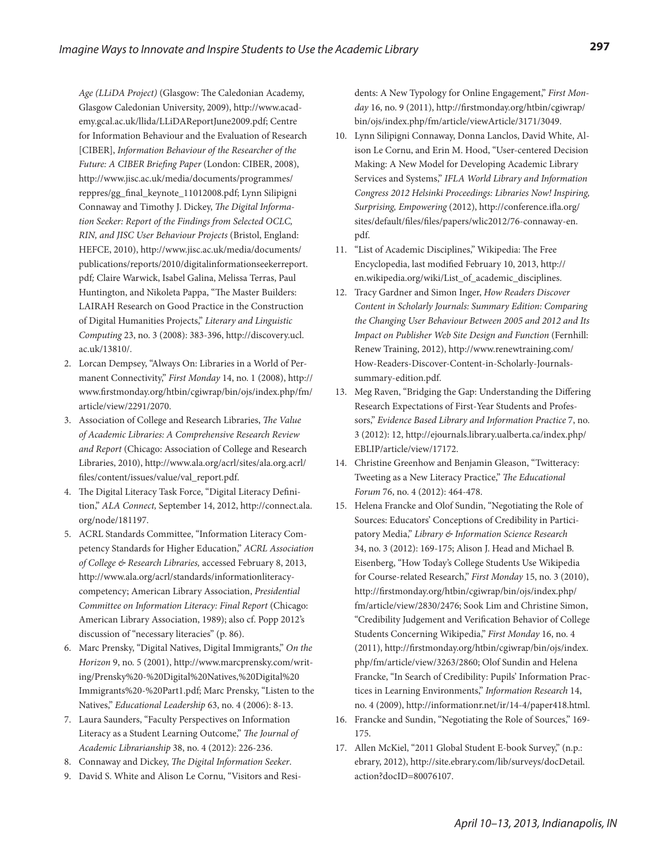*Age (LLiDA Project)* (Glasgow: The Caledonian Academy, Glasgow Caledonian University, 2009), http://www.academy.gcal.ac.uk/llida/LLiDAReportJune2009.pdf; Centre for Information Behaviour and the Evaluation of Research [CIBER], *Information Behaviour of the Researcher of the Future: A CIBER Briefing Paper* (London: CIBER, 2008), http://www.jisc.ac.uk/media/documents/programmes/ reppres/gg\_final\_keynote\_11012008.pdf; Lynn Silipigni Connaway and Timothy J. Dickey, *The Digital Information Seeker: Report of the Findings from Selected OCLC, RIN, and JISC User Behaviour Projects* (Bristol, England: HEFCE, 2010), http://www.jisc.ac.uk/media/documents/ publications/reports/2010/digitalinformationseekerreport. pdf*;* Claire Warwick, Isabel Galina, Melissa Terras, Paul Huntington, and Nikoleta Pappa, "The Master Builders: LAIRAH Research on Good Practice in the Construction of Digital Humanities Projects," *Literary and Linguistic Computing* 23, no. 3 (2008): 383-396, http://discovery.ucl. ac.uk/13810/.

- 2. Lorcan Dempsey, "Always On: Libraries in a World of Permanent Connectivity," *First Monday* 14, no. 1 (2008), http:// www.firstmonday.org/htbin/cgiwrap/bin/ojs/index.php/fm/ article/view/2291/2070.
- 3. Association of College and Research Libraries, *The Value of Academic Libraries: A Comprehensive Research Review and Report* (Chicago: Association of College and Research Libraries, 2010), http://www.ala.org/acrl/sites/ala.org.acrl/ files/content/issues/value/val\_report.pdf.
- 4. The Digital Literacy Task Force, "Digital Literacy Definition," *ALA Connect,* September 14, 2012, http://connect.ala. org/node/181197.
- 5. ACRL Standards Committee, "Information Literacy Competency Standards for Higher Education," *ACRL Association of College & Research Libraries,* accessed February 8, 2013, http://www.ala.org/acrl/standards/informationliteracycompetency; American Library Association, *Presidential Committee on Information Literacy: Final Report* (Chicago: American Library Association, 1989); also cf. Popp 2012's discussion of "necessary literacies" (p. 86).
- 6. Marc Prensky, "Digital Natives, Digital Immigrants," *On the Horizon* 9, no. 5 (2001), http://www.marcprensky.com/writing/Prensky%20-%20Digital%20Natives,%20Digital%20 Immigrants%20-%20Part1.pdf; Marc Prensky, "Listen to the Natives," *Educational Leadership* 63, no. 4 (2006): 8-13.
- 7. Laura Saunders, "Faculty Perspectives on Information Literacy as a Student Learning Outcome," *The Journal of Academic Librarianship* 38, no. 4 (2012): 226-236.
- 8. Connaway and Dickey, *The Digital Information Seeker*.
- 9. David S. White and Alison Le Cornu, "Visitors and Resi-

dents: A New Typology for Online Engagement," *First Monday* 16, no. 9 (2011), http://firstmonday.org/htbin/cgiwrap/ bin/ojs/index.php/fm/article/viewArticle/3171/3049.

- 10. Lynn Silipigni Connaway, Donna Lanclos, David White, Alison Le Cornu, and Erin M. Hood, "User-centered Decision Making: A New Model for Developing Academic Library Services and Systems," *IFLA World Library and Information Congress 2012 Helsinki Proceedings: Libraries Now! Inspiring, Surprising, Empowering* (2012), http://conference.ifla.org/ sites/default/files/files/papers/wlic2012/76-connaway-en. pdf.
- 11. "List of Academic Disciplines," Wikipedia: The Free Encyclopedia, last modified February 10, 2013, http:// en.wikipedia.org/wiki/List\_of\_academic\_disciplines.
- 12. Tracy Gardner and Simon Inger, *How Readers Discover Content in Scholarly Journals: Summary Edition: Comparing the Changing User Behaviour Between 2005 and 2012 and Its Impact on Publisher Web Site Design and Function* (Fernhill: Renew Training, 2012), http://www.renewtraining.com/ How-Readers-Discover-Content-in-Scholarly-Journalssummary-edition.pdf.
- 13. Meg Raven, "Bridging the Gap: Understanding the Differing Research Expectations of First-Year Students and Professors," *Evidence Based Library and Information Practice* 7, no. 3 (2012): 12, http://ejournals.library.ualberta.ca/index.php/ EBLIP/article/view/17172.
- 14. Christine Greenhow and Benjamin Gleason, "Twitteracy: Tweeting as a New Literacy Practice," *The Educational Forum* 76, no. 4 (2012): 464-478.
- 15. Helena Francke and Olof Sundin, "Negotiating the Role of Sources: Educators' Conceptions of Credibility in Participatory Media," *Library & Information Science Research* 34, no. 3 (2012): 169-175; Alison J. Head and Michael B. Eisenberg, "How Today's College Students Use Wikipedia for Course-related Research," *First Monday* 15, no. 3 (2010), http://firstmonday.org/htbin/cgiwrap/bin/ojs/index.php/ fm/article/view/2830/2476; Sook Lim and Christine Simon, "Credibility Judgement and Verification Behavior of College Students Concerning Wikipedia," *First Monday* 16, no. 4 (2011), http://firstmonday.org/htbin/cgiwrap/bin/ojs/index. php/fm/article/view/3263/2860; Olof Sundin and Helena Francke, "In Search of Credibility: Pupils' Information Practices in Learning Environments," *Information Research* 14, no. 4 (2009), http://informationr.net/ir/14-4/paper418.html.
- 16. Francke and Sundin, "Negotiating the Role of Sources," 169- 175.
- 17. Allen McKiel, "2011 Global Student E-book Survey," (n.p.: ebrary, 2012), http://site.ebrary.com/lib/surveys/docDetail. action?docID=80076107.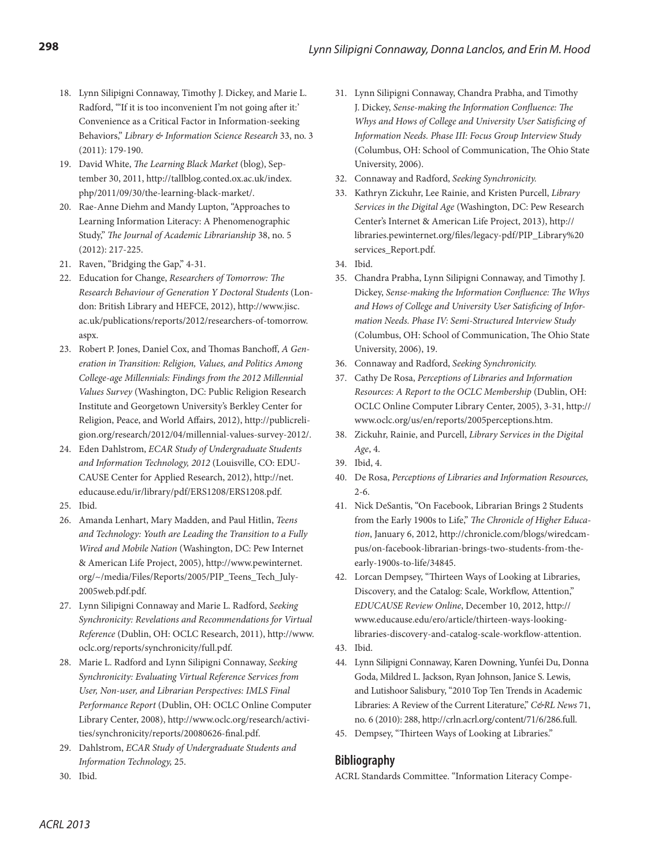- 18. Lynn Silipigni Connaway, Timothy J. Dickey, and Marie L. Radford, "'If it is too inconvenient I'm not going after it:' Convenience as a Critical Factor in Information-seeking Behaviors," *Library & Information Science Research* 33, no. 3 (2011): 179-190.
- 19. David White, *The Learning Black Market* (blog), September 30, 2011, http://tallblog.conted.ox.ac.uk/index. php/2011/09/30/the-learning-black-market/.
- 20. Rae-Anne Diehm and Mandy Lupton, "Approaches to Learning Information Literacy: A Phenomenographic Study," *The Journal of Academic Librarianship* 38, no. 5 (2012): 217-225.
- 21. Raven, "Bridging the Gap," 4-31.
- 22. Education for Change, *Researchers of Tomorrow: The Research Behaviour of Generation Y Doctoral Students* (London: British Library and HEFCE, 2012), http://www.jisc. ac.uk/publications/reports/2012/researchers-of-tomorrow. aspx.
- 23. Robert P. Jones, Daniel Cox, and Thomas Banchoff, *A Generation in Transition: Religion, Values, and Politics Among College-age Millennials: Findings from the 2012 Millennial Values Survey* (Washington, DC: Public Religion Research Institute and Georgetown University's Berkley Center for Religion, Peace, and World Affairs, 2012), http://publicreligion.org/research/2012/04/millennial-values-survey-2012/.
- 24. Eden Dahlstrom, *ECAR Study of Undergraduate Students and Information Technology, 2012* (Louisville, CO: EDU-CAUSE Center for Applied Research, 2012), http://net. educause.edu/ir/library/pdf/ERS1208/ERS1208.pdf.
- 25. Ibid.
- 26. Amanda Lenhart, Mary Madden, and Paul Hitlin, *Teens and Technology: Youth are Leading the Transition to a Fully Wired and Mobile Nation* (Washington, DC: Pew Internet & American Life Project, 2005), http://www.pewinternet. org/~/media/Files/Reports/2005/PIP\_Teens\_Tech\_July-2005web.pdf.pdf.
- 27. Lynn Silipigni Connaway and Marie L. Radford, *Seeking Synchronicity: Revelations and Recommendations for Virtual Reference* (Dublin, OH: OCLC Research, 2011), http://www. oclc.org/reports/synchronicity/full.pdf.
- 28. Marie L. Radford and Lynn Silipigni Connaway, *Seeking Synchronicity: Evaluating Virtual Reference Services from User, Non-user, and Librarian Perspectives: IMLS Final Performance Report* (Dublin, OH: OCLC Online Computer Library Center, 2008), http://www.oclc.org/research/activities/synchronicity/reports/20080626-final.pdf.
- 29. Dahlstrom, *ECAR Study of Undergraduate Students and Information Technology,* 25.
- 31. Lynn Silipigni Connaway, Chandra Prabha, and Timothy J. Dickey, *Sense-making the Information Confluence: The Whys and Hows of College and University User Satisficing of Information Needs. Phase III: Focus Group Interview Study*  (Columbus, OH: School of Communication, The Ohio State University, 2006).
- 32. Connaway and Radford, *Seeking Synchronicity.*
- 33. Kathryn Zickuhr, Lee Rainie, and Kristen Purcell, *Library Services in the Digital Age* (Washington, DC: Pew Research Center's Internet & American Life Project, 2013), http:// libraries.pewinternet.org/files/legacy-pdf/PIP\_Library%20 services\_Report.pdf.
- 34. Ibid.
- 35. Chandra Prabha, Lynn Silipigni Connaway, and Timothy J. Dickey, *Sense-making the Information Confluence: The Whys and Hows of College and University User Satisficing of Information Needs. Phase IV: Semi-Structured Interview Study*  (Columbus, OH: School of Communication, The Ohio State University, 2006), 19.
- 36. Connaway and Radford, *Seeking Synchronicity.*
- 37. Cathy De Rosa, *Perceptions of Libraries and Information Resources: A Report to the OCLC Membership* (Dublin, OH: OCLC Online Computer Library Center, 2005), 3-31, http:// www.oclc.org/us/en/reports/2005perceptions.htm.
- 38. Zickuhr, Rainie, and Purcell, *Library Services in the Digital Age*, 4.
- 39. Ibid, 4.
- 40. De Rosa, *Perceptions of Libraries and Information Resources,*  2-6.
- 41. Nick DeSantis, "On Facebook, Librarian Brings 2 Students from the Early 1900s to Life," *The Chronicle of Higher Education*, January 6, 2012, http://chronicle.com/blogs/wiredcampus/on-facebook-librarian-brings-two-students-from-theearly-1900s-to-life/34845.
- 42. Lorcan Dempsey, "Thirteen Ways of Looking at Libraries, Discovery, and the Catalog: Scale, Workflow, Attention," *EDUCAUSE Review Online*, December 10, 2012, http:// www.educause.edu/ero/article/thirteen-ways-lookinglibraries-discovery-and-catalog-scale-workflow-attention. 43. Ibid.
- 44. Lynn Silipigni Connaway, Karen Downing, Yunfei Du, Donna Goda, Mildred L. Jackson, Ryan Johnson, Janice S. Lewis, and Lutishoor Salisbury, "2010 Top Ten Trends in Academic Libraries: A Review of the Current Literature," *C&RL News* 71, no. 6 (2010): 288, http://crln.acrl.org/content/71/6/286.full.
- 45. Dempsey, "Thirteen Ways of Looking at Libraries."

# **Bibliography**

ACRL Standards Committee. "Information Literacy Compe-

30. Ibid.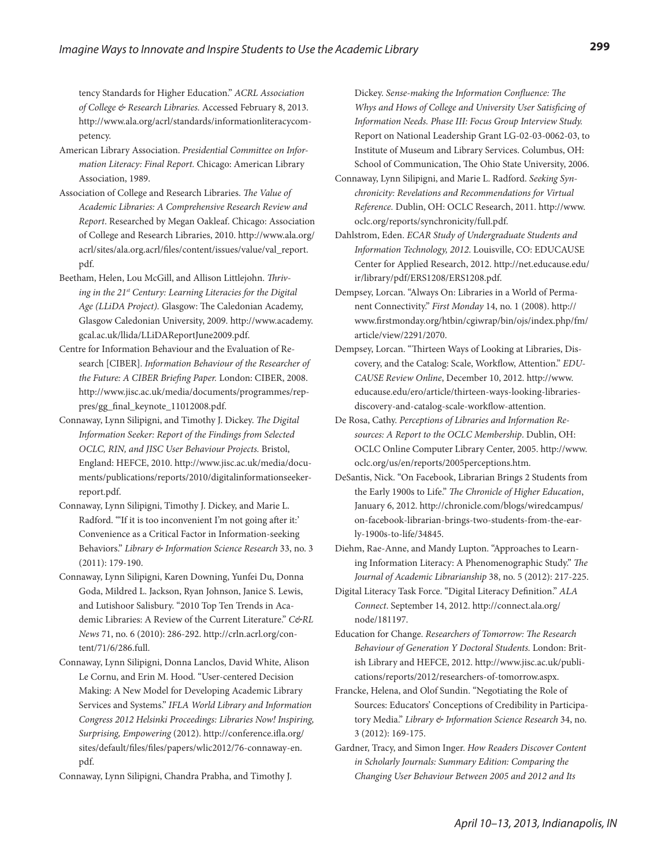tency Standards for Higher Education." *ACRL Association of College & Research Libraries.* Accessed February 8, 2013. http://www.ala.org/acrl/standards/informationliteracycompetency.

- American Library Association. *Presidential Committee on Information Literacy: Final Report.* Chicago: American Library Association, 1989.
- Association of College and Research Libraries. *The Value of Academic Libraries: A Comprehensive Research Review and Report*. Researched by Megan Oakleaf. Chicago: Association of College and Research Libraries, 2010. http://www.ala.org/ acrl/sites/ala.org.acrl/files/content/issues/value/val\_report. pdf.
- Beetham, Helen, Lou McGill, and Allison Littlejohn. *Thriving in the 21st Century: Learning Literacies for the Digital Age (LLiDA Project).* Glasgow: The Caledonian Academy, Glasgow Caledonian University, 2009. http://www.academy. gcal.ac.uk/llida/LLiDAReportJune2009.pdf.
- Centre for Information Behaviour and the Evaluation of Research [CIBER]. *Information Behaviour of the Researcher of the Future: A CIBER Briefing Paper.* London: CIBER, 2008. http://www.jisc.ac.uk/media/documents/programmes/reppres/gg\_final\_keynote\_11012008.pdf.
- Connaway, Lynn Silipigni, and Timothy J. Dickey. *The Digital Information Seeker: Report of the Findings from Selected OCLC, RIN, and JISC User Behaviour Projects.* Bristol, England: HEFCE, 2010. http://www.jisc.ac.uk/media/documents/publications/reports/2010/digitalinformationseekerreport.pdf.
- Connaway, Lynn Silipigni, Timothy J. Dickey, and Marie L. Radford. "If it is too inconvenient I'm not going after it:' Convenience as a Critical Factor in Information-seeking Behaviors." *Library & Information Science Research* 33, no. 3 (2011): 179-190.
- Connaway, Lynn Silipigni, Karen Downing, Yunfei Du, Donna Goda, Mildred L. Jackson, Ryan Johnson, Janice S. Lewis, and Lutishoor Salisbury. "2010 Top Ten Trends in Academic Libraries: A Review of the Current Literature." *C&RL News* 71, no. 6 (2010): 286-292. http://crln.acrl.org/content/71/6/286.full.
- Connaway, Lynn Silipigni, Donna Lanclos, David White, Alison Le Cornu, and Erin M. Hood. "User-centered Decision Making: A New Model for Developing Academic Library Services and Systems." *IFLA World Library and Information Congress 2012 Helsinki Proceedings: Libraries Now! Inspiring, Surprising, Empowering* (2012). http://conference.ifla.org/ sites/default/files/files/papers/wlic2012/76-connaway-en. pdf.

Connaway, Lynn Silipigni, Chandra Prabha, and Timothy J.

Dickey. *Sense-making the Information Confluence: The Whys and Hows of College and University User Satisficing of Information Needs. Phase III: Focus Group Interview Study.*  Report on National Leadership Grant LG-02-03-0062-03, to Institute of Museum and Library Services. Columbus, OH: School of Communication, The Ohio State University, 2006.

- Connaway, Lynn Silipigni, and Marie L. Radford. *Seeking Synchronicity: Revelations and Recommendations for Virtual Reference.* Dublin, OH: OCLC Research, 2011. http://www. oclc.org/reports/synchronicity/full.pdf.
- Dahlstrom, Eden. *ECAR Study of Undergraduate Students and Information Technology, 2012*. Louisville, CO: EDUCAUSE Center for Applied Research, 2012. http://net.educause.edu/ ir/library/pdf/ERS1208/ERS1208.pdf.
- Dempsey, Lorcan. "Always On: Libraries in a World of Permanent Connectivity." *First Monday* 14, no. 1 (2008). http:// www.firstmonday.org/htbin/cgiwrap/bin/ojs/index.php/fm/ article/view/2291/2070.
- Dempsey, Lorcan. "Thirteen Ways of Looking at Libraries, Discovery, and the Catalog: Scale, Workflow, Attention." *EDU-CAUSE Review Online*, December 10, 2012. http://www. educause.edu/ero/article/thirteen-ways-looking-librariesdiscovery-and-catalog-scale-workflow-attention.
- De Rosa, Cathy. *Perceptions of Libraries and Information Resources: A Report to the OCLC Membership*. Dublin, OH: OCLC Online Computer Library Center, 2005. http://www. oclc.org/us/en/reports/2005perceptions.htm.
- DeSantis, Nick. "On Facebook, Librarian Brings 2 Students from the Early 1900s to Life." *The Chronicle of Higher Education*, January 6, 2012. http://chronicle.com/blogs/wiredcampus/ on-facebook-librarian-brings-two-students-from-the-early-1900s-to-life/34845.
- Diehm, Rae-Anne, and Mandy Lupton. "Approaches to Learning Information Literacy: A Phenomenographic Study." *The Journal of Academic Librarianship* 38, no. 5 (2012): 217-225.
- Digital Literacy Task Force. "Digital Literacy Definition." *ALA Connect*. September 14, 2012. http://connect.ala.org/ node/181197.

Education for Change. *Researchers of Tomorrow: The Research Behaviour of Generation Y Doctoral Students.* London: British Library and HEFCE, 2012. http://www.jisc.ac.uk/publications/reports/2012/researchers-of-tomorrow.aspx.

- Francke, Helena, and Olof Sundin. "Negotiating the Role of Sources: Educators' Conceptions of Credibility in Participatory Media." *Library & Information Science Research* 34, no. 3 (2012): 169-175.
- Gardner, Tracy, and Simon Inger. *How Readers Discover Content in Scholarly Journals: Summary Edition: Comparing the Changing User Behaviour Between 2005 and 2012 and Its*